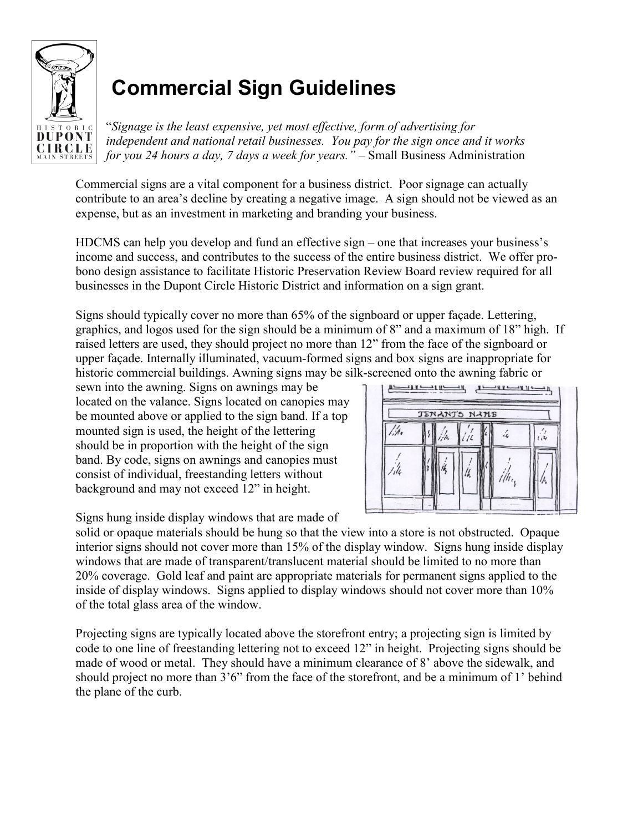

# **Commercial Sign Guidelines**

"*Signage is the least expensive, yet most effective, form of advertising for independent and national retail businesses. You pay for the sign once and it works for you 24 hours a day, 7 days a week for years."* – Small Business Administration

Commercial signs are a vital component for a business district. Poor signage can actually contribute to an area's decline by creating a negative image. A sign should not be viewed as an expense, but as an investment in marketing and branding your business.

HDCMS can help you develop and fund an effective sign – one that increases your business's income and success, and contributes to the success of the entire business district. We offer probono design assistance to facilitate Historic Preservation Review Board review required for all businesses in the Dupont Circle Historic District and information on a sign grant.

Signs should typically cover no more than 65% of the signboard or upper façade. Lettering, graphics, and logos used for the sign should be a minimum of 8" and a maximum of 18" high. If raised letters are used, they should project no more than 12" from the face of the signboard or upper façade. Internally illuminated, vacuum-formed signs and box signs are inappropriate for historic commercial buildings. Awning signs may be silk-screened onto the awning fabric or

sewn into the awning. Signs on awnings may be located on the valance. Signs located on canopies may be mounted above or applied to the sign band. If a top mounted sign is used, the height of the lettering should be in proportion with the height of the sign band. By code, signs on awnings and canopies must consist of individual, freestanding letters without background and may not exceed 12" in height.



Signs hung inside display windows that are made of

solid or opaque materials should be hung so that the view into a store is not obstructed. Opaque interior signs should not cover more than 15% of the display window. Signs hung inside display windows that are made of transparent/translucent material should be limited to no more than 20% coverage. Gold leaf and paint are appropriate materials for permanent signs applied to the inside of display windows. Signs applied to display windows should not cover more than 10% of the total glass area of the window.

Projecting signs are typically located above the storefront entry; a projecting sign is limited by code to one line of freestanding lettering not to exceed 12" in height. Projecting signs should be made of wood or metal. They should have a minimum clearance of 8' above the sidewalk, and should project no more than 3'6" from the face of the storefront, and be a minimum of 1' behind the plane of the curb.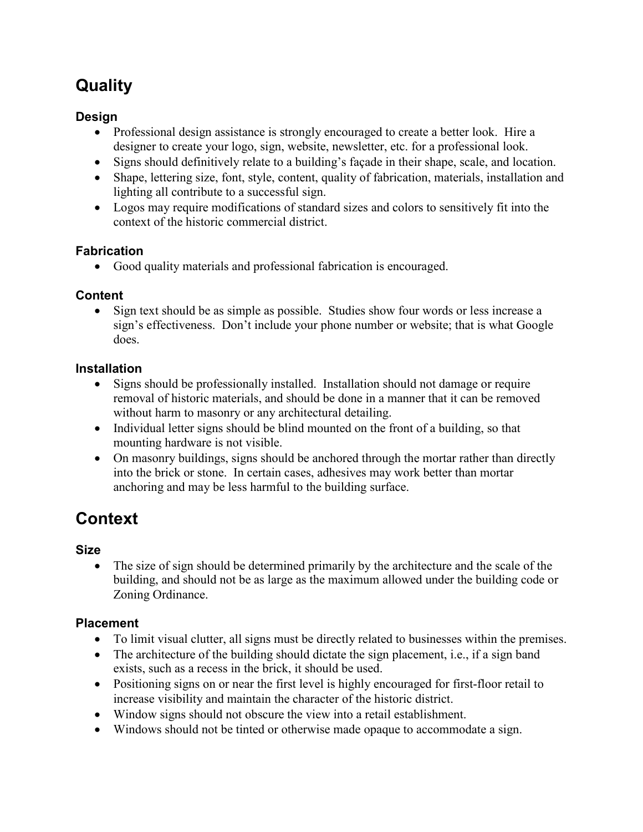# **Quality**

#### **Design**

- Professional design assistance is strongly encouraged to create a better look. Hire a designer to create your logo, sign, website, newsletter, etc. for a professional look.
- Signs should definitively relate to a building's façade in their shape, scale, and location.
- Shape, lettering size, font, style, content, quality of fabrication, materials, installation and lighting all contribute to a successful sign.
- Logos may require modifications of standard sizes and colors to sensitively fit into the context of the historic commercial district.

#### **Fabrication**

• Good quality materials and professional fabrication is encouraged.

#### **Content**

• Sign text should be as simple as possible. Studies show four words or less increase a sign's effectiveness. Don't include your phone number or website; that is what Google does.

#### **Installation**

- Signs should be professionally installed. Installation should not damage or require removal of historic materials, and should be done in a manner that it can be removed without harm to masonry or any architectural detailing.
- Individual letter signs should be blind mounted on the front of a building, so that mounting hardware is not visible.
- On masonry buildings, signs should be anchored through the mortar rather than directly into the brick or stone. In certain cases, adhesives may work better than mortar anchoring and may be less harmful to the building surface.

# **Context**

#### **Size**

• The size of sign should be determined primarily by the architecture and the scale of the building, and should not be as large as the maximum allowed under the building code or Zoning Ordinance.

#### **Placement**

- To limit visual clutter, all signs must be directly related to businesses within the premises.
- The architecture of the building should dictate the sign placement, i.e., if a sign band exists, such as a recess in the brick, it should be used.
- Positioning signs on or near the first level is highly encouraged for first-floor retail to increase visibility and maintain the character of the historic district.
- Window signs should not obscure the view into a retail establishment.
- Windows should not be tinted or otherwise made opaque to accommodate a sign.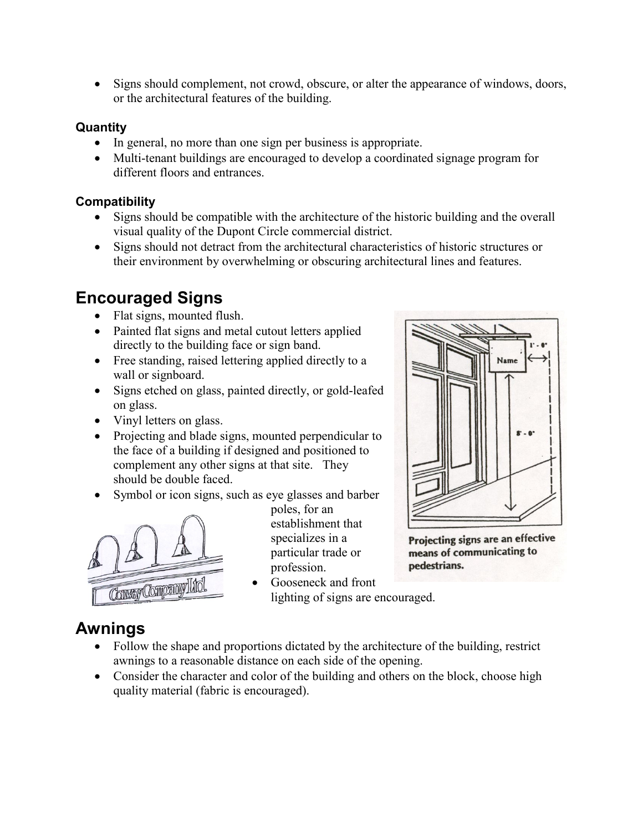• Signs should complement, not crowd, obscure, or alter the appearance of windows, doors, or the architectural features of the building.

#### **Quantity**

- In general, no more than one sign per business is appropriate.
- Multi-tenant buildings are encouraged to develop a coordinated signage program for different floors and entrances.

#### **Compatibility**

- Signs should be compatible with the architecture of the historic building and the overall visual quality of the Dupont Circle commercial district.
- Signs should not detract from the architectural characteristics of historic structures or their environment by overwhelming or obscuring architectural lines and features.

# **Encouraged Signs**

- Flat signs, mounted flush.
- Painted flat signs and metal cutout letters applied directly to the building face or sign band.
- Free standing, raised lettering applied directly to a wall or signboard.
- Signs etched on glass, painted directly, or gold-leafed on glass.
- Vinyl letters on glass.
- Projecting and blade signs, mounted perpendicular to the face of a building if designed and positioned to complement any other signs at that site. They should be double faced.
- Symbol or icon signs, such as eye glasses and barber



poles, for an establishment that specializes in a particular trade or profession.

• Gooseneck and front lighting of signs are encouraged.



Projecting signs are an effective means of communicating to pedestrians.

### **Awnings**

- Follow the shape and proportions dictated by the architecture of the building, restrict awnings to a reasonable distance on each side of the opening.
- Consider the character and color of the building and others on the block, choose high quality material (fabric is encouraged).